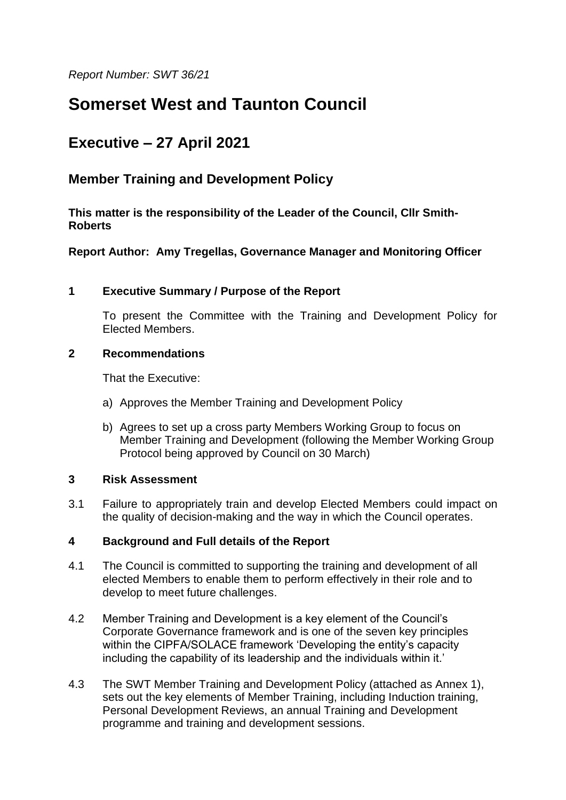*Report Number: SWT 36/21*

# **Somerset West and Taunton Council**

## **Executive – 27 April 2021**

### **Member Training and Development Policy**

**This matter is the responsibility of the Leader of the Council, Cllr Smith-Roberts**

**Report Author: Amy Tregellas, Governance Manager and Monitoring Officer**

#### **1 Executive Summary / Purpose of the Report**

To present the Committee with the Training and Development Policy for Elected Members.

#### **2 Recommendations**

That the Executive:

- a) Approves the Member Training and Development Policy
- b) Agrees to set up a cross party Members Working Group to focus on Member Training and Development (following the Member Working Group Protocol being approved by Council on 30 March)

#### **3 Risk Assessment**

3.1 Failure to appropriately train and develop Elected Members could impact on the quality of decision-making and the way in which the Council operates.

#### **4 Background and Full details of the Report**

- 4.1 The Council is committed to supporting the training and development of all elected Members to enable them to perform effectively in their role and to develop to meet future challenges.
- 4.2 Member Training and Development is a key element of the Council's Corporate Governance framework and is one of the seven key principles within the CIPFA/SOLACE framework 'Developing the entity's capacity including the capability of its leadership and the individuals within it.'
- 4.3 The SWT Member Training and Development Policy (attached as Annex 1), sets out the key elements of Member Training, including Induction training, Personal Development Reviews, an annual Training and Development programme and training and development sessions.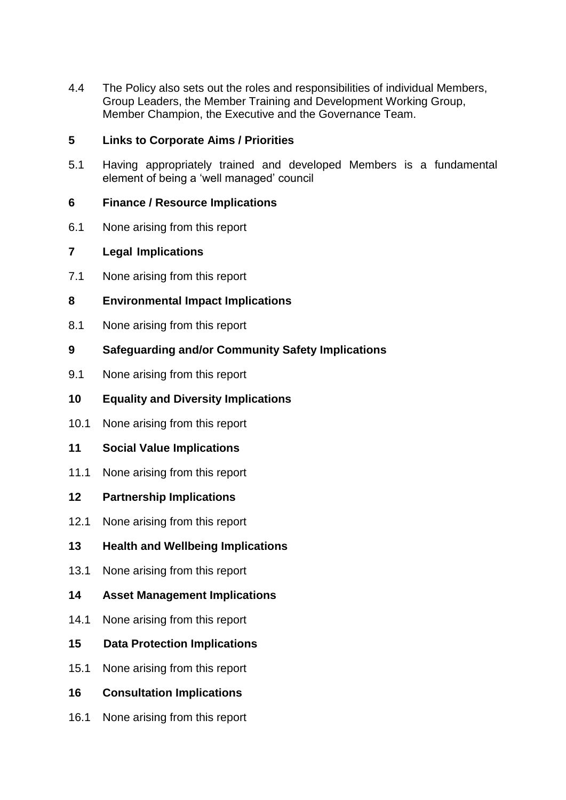4.4 The Policy also sets out the roles and responsibilities of individual Members, Group Leaders, the Member Training and Development Working Group, Member Champion, the Executive and the Governance Team.

#### **5 Links to Corporate Aims / Priorities**

5.1 Having appropriately trained and developed Members is a fundamental element of being a 'well managed' council

#### **6 Finance / Resource Implications**

6.1 None arising from this report

#### **7 Legal Implications**

- 7.1 None arising from this report
- **8 Environmental Impact Implications**
- 8.1 None arising from this report
- **9 Safeguarding and/or Community Safety Implications**
- 9.1 None arising from this report
- **10 Equality and Diversity Implications**
- 10.1 None arising from this report
- **11 Social Value Implications**
- 11.1 None arising from this report
- **12 Partnership Implications**
- 12.1 None arising from this report
- **13 Health and Wellbeing Implications**
- 13.1 None arising from this report
- **14 Asset Management Implications**
- 14.1 None arising from this report
- **15 Data Protection Implications**
- 15.1 None arising from this report
- **16 Consultation Implications**
- 16.1 None arising from this report